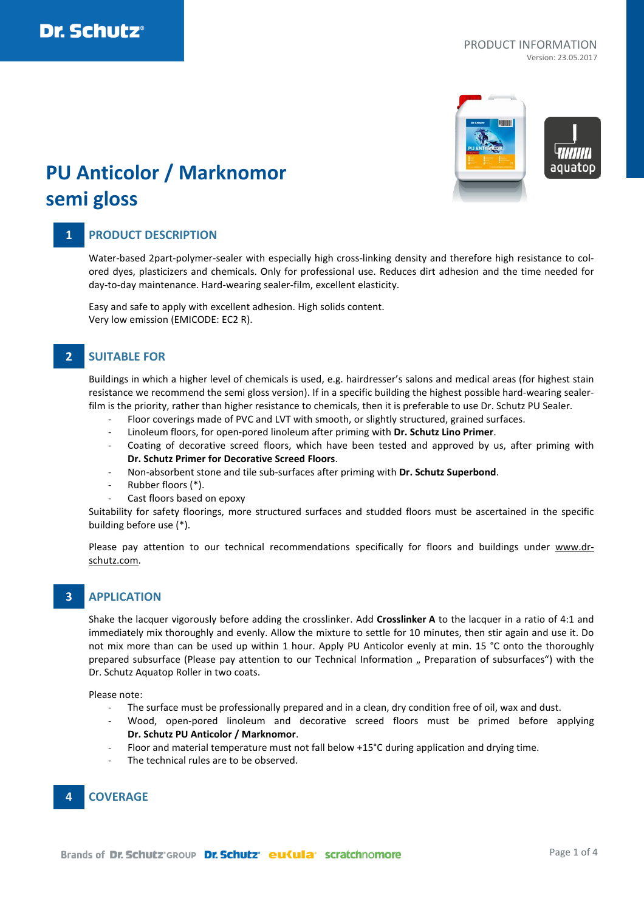

# **PU Anticolor / Marknomor semi gloss**

## **1 PRODUCT DESCRIPTION**

Water-based 2part-polymer-sealer with especially high cross-linking density and therefore high resistance to colored dyes, plasticizers and chemicals. Only for professional use. Reduces dirt adhesion and the time needed for day-to-day maintenance. Hard-wearing sealer-film, excellent elasticity.

Easy and safe to apply with excellent adhesion. High solids content. Very low emission (EMICODE: EC2 R).

## **2 SUITABLE FOR**

Buildings in which a higher level of chemicals is used, e.g. hairdresser's salons and medical areas (for highest stain resistance we recommend the semi gloss version). If in a specific building the highest possible hard-wearing sealerfilm is the priority, rather than higher resistance to chemicals, then it is preferable to use Dr. Schutz PU Sealer.

- Floor coverings made of PVC and LVT with smooth, or slightly structured, grained surfaces.
- Linoleum floors, for open-pored linoleum after priming with **Dr. Schutz Lino Primer**.
- Coating of decorative screed floors, which have been tested and approved by us, after priming with **Dr. Schutz Primer for Decorative Screed Floors**.
- Non-absorbent stone and tile sub-surfaces after priming with **Dr. Schutz Superbond**.
- Rubber floors (\*).
- Cast floors based on epoxy

Suitability for safety floorings, more structured surfaces and studded floors must be ascertained in the specific building before use (\*).

Please pay attention to our technical recommendations specifically for floors and buildings under [www.dr](http://www.dr-schutz.com/)[schutz.com.](http://www.dr-schutz.com/)

### **3 APPLICATION**

Shake the lacquer vigorously before adding the crosslinker. Add **Crosslinker A** to the lacquer in a ratio of 4:1 and immediately mix thoroughly and evenly. Allow the mixture to settle for 10 minutes, then stir again and use it. Do not mix more than can be used up within 1 hour. Apply PU Anticolor evenly at min. 15 °C onto the thoroughly prepared subsurface (Please pay attention to our Technical Information " Preparation of subsurfaces") with the Dr. Schutz Aquatop Roller in two coats.

Please note:

- The surface must be professionally prepared and in a clean, dry condition free of oil, wax and dust.
- Wood, open-pored linoleum and decorative screed floors must be primed before applying **Dr. Schutz PU Anticolor / Marknomor**.
- Floor and material temperature must not fall below +15°C during application and drying time.
- The technical rules are to be observed.

## **4 COVERAGE**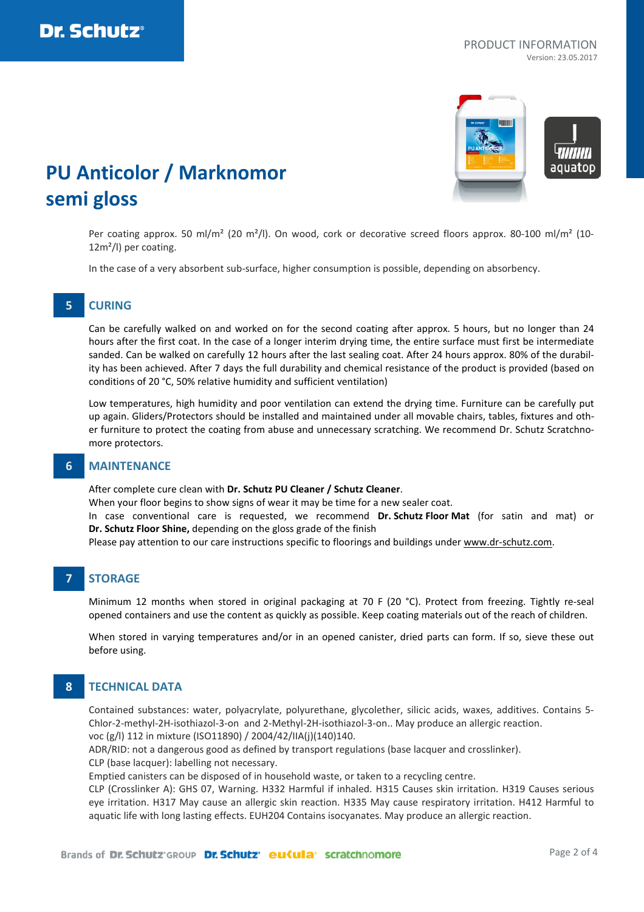



# **PU Anticolor / Marknomor semi gloss**

Per coating approx. 50 ml/m<sup>2</sup> (20 m<sup>2</sup>/l). On wood, cork or decorative screed floors approx. 80-100 ml/m<sup>2</sup> (10-12m²/l) per coating.

In the case of a very absorbent sub-surface, higher consumption is possible, depending on absorbency.

## **5 CURING**

Can be carefully walked on and worked on for the second coating after approx. 5 hours, but no longer than 24 hours after the first coat. In the case of a longer interim drying time, the entire surface must first be intermediate sanded. Can be walked on carefully 12 hours after the last sealing coat. After 24 hours approx. 80% of the durability has been achieved. After 7 days the full durability and chemical resistance of the product is provided (based on conditions of 20 °C, 50% relative humidity and sufficient ventilation)

Low temperatures, high humidity and poor ventilation can extend the drying time. Furniture can be carefully put up again. Gliders/Protectors should be installed and maintained under all movable chairs, tables, fixtures and other furniture to protect the coating from abuse and unnecessary scratching. We recommend Dr. Schutz Scratchnomore protectors.

### **6 MAINTENANCE**

After complete cure clean with **Dr. Schutz PU Cleaner / Schutz Cleaner**.

When your floor begins to show signs of wear it may be time for a new sealer coat.

In case conventional care is requested, we recommend **Dr. Schutz Floor Mat** (for satin and mat) or **Dr. Schutz Floor Shine,** depending on the gloss grade of the finish

Please pay attention to our care instructions specific to floorings and buildings under [www.dr-schutz.com.](http://www.dr-schutz.com/)

## **7 STORAGE**

Minimum 12 months when stored in original packaging at 70 F (20 °C). Protect from freezing. Tightly re-seal opened containers and use the content as quickly as possible. Keep coating materials out of the reach of children.

When stored in varying temperatures and/or in an opened canister, dried parts can form. If so, sieve these out before using.

## **8 TECHNICAL DATA**

Contained substances: water, polyacrylate, polyurethane, glycolether, silicic acids, waxes, additives. Contains 5- Chlor-2-methyl-2H-isothiazol-3-on and 2-Methyl-2H-isothiazol-3-on.. May produce an allergic reaction. voc (g/l) 112 in mixture (ISO11890) / 2004/42/IIA(j)(140)140.

ADR/RID: not a dangerous good as defined by transport regulations (base lacquer and crosslinker).

CLP (base lacquer): labelling not necessary.

Emptied canisters can be disposed of in household waste, or taken to a recycling centre.

CLP (Crosslinker A): GHS 07, Warning. H332 Harmful if inhaled. H315 Causes skin irritation. H319 Causes serious eye irritation. H317 May cause an allergic skin reaction. H335 May cause respiratory irritation. H412 Harmful to aquatic life with long lasting effects. EUH204 Contains isocyanates. May produce an allergic reaction.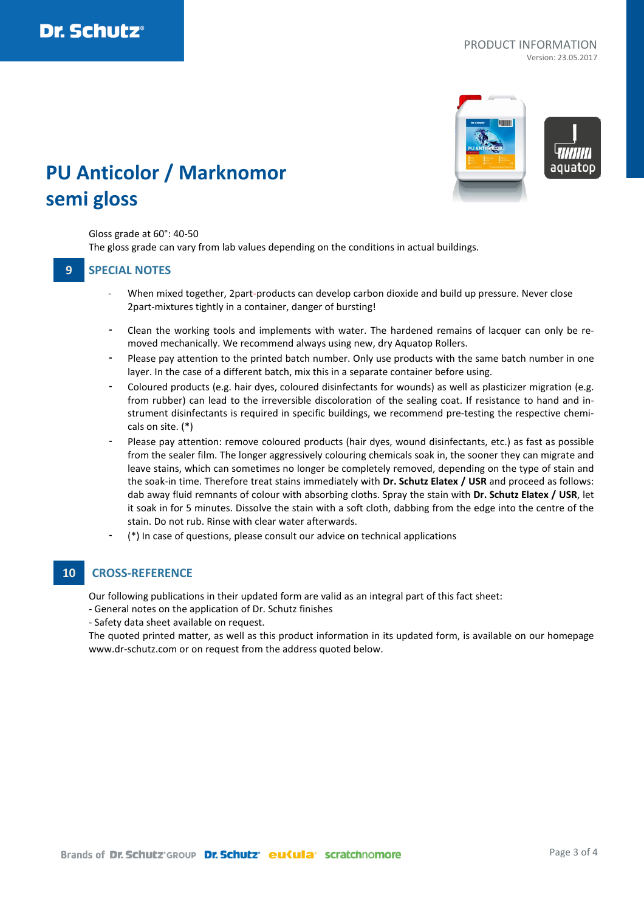

aguator

# **PU Anticolor / Marknomor semi gloss**

#### Gloss grade at 60°: 40-50

The gloss grade can vary from lab values depending on the conditions in actual buildings.

### **9 SPECIAL NOTES**

- When mixed together, 2part-products can develop carbon dioxide and build up pressure. Never close 2part-mixtures tightly in a container, danger of bursting!
- Clean the working tools and implements with water. The hardened remains of lacquer can only be removed mechanically. We recommend always using new, dry Aquatop Rollers.
- Please pay attention to the printed batch number. Only use products with the same batch number in one layer. In the case of a different batch, mix this in a separate container before using.
- Coloured products (e.g. hair dyes, coloured disinfectants for wounds) as well as plasticizer migration (e.g. from rubber) can lead to the irreversible discoloration of the sealing coat. If resistance to hand and instrument disinfectants is required in specific buildings, we recommend pre-testing the respective chemicals on site. (\*)
- Please pay attention: remove coloured products (hair dyes, wound disinfectants, etc.) as fast as possible from the sealer film. The longer aggressively colouring chemicals soak in, the sooner they can migrate and leave stains, which can sometimes no longer be completely removed, depending on the type of stain and the soak-in time. Therefore treat stains immediately with **Dr. Schutz Elatex / USR** and proceed as follows: dab away fluid remnants of colour with absorbing cloths. Spray the stain with **Dr. Schutz Elatex / USR**, let it soak in for 5 minutes. Dissolve the stain with a soft cloth, dabbing from the edge into the centre of the stain. Do not rub. Rinse with clear water afterwards.
- (\*) In case of questions, please consult our advice on technical applications

### **10 CROSS-REFERENCE**

Our following publications in their updated form are valid as an integral part of this fact sheet:

- General notes on the application of Dr. Schutz finishes
- Safety data sheet available on request.

The quoted printed matter, as well as this product information in its updated form, is available on our homepage www.dr-schutz.com or on request from the address quoted below.